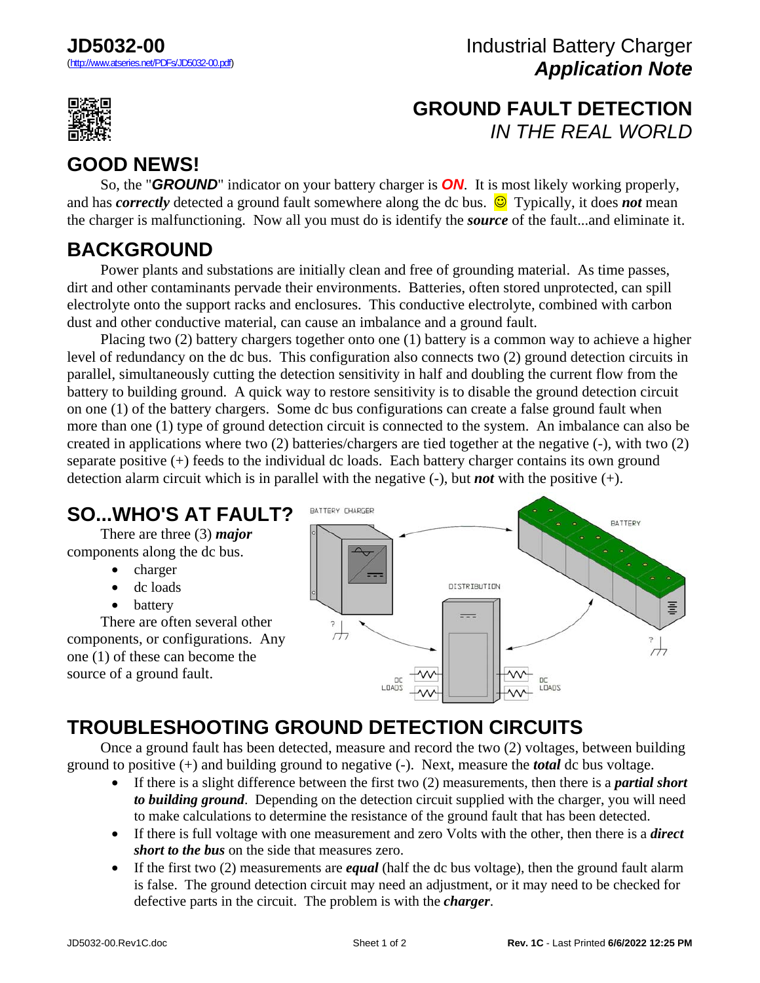

## **GROUND FAULT DETECTION** *IN THE REAL WORLD*

# **GOOD NEWS!**

 So, the "*GROUND*" indicator on your battery charger is *ON*. It is most likely working properly, and has *correctly* detected a ground fault somewhere along the dc bus.  $\bigcirc$  Typically, it does *not* mean the charger is malfunctioning. Now all you must do is identify the *source* of the fault...and eliminate it.

#### **BACKGROUND**

 Power plants and substations are initially clean and free of grounding material. As time passes, dirt and other contaminants pervade their environments. Batteries, often stored unprotected, can spill electrolyte onto the support racks and enclosures. This conductive electrolyte, combined with carbon dust and other conductive material, can cause an imbalance and a ground fault.

 Placing two (2) battery chargers together onto one (1) battery is a common way to achieve a higher level of redundancy on the dc bus. This configuration also connects two (2) ground detection circuits in parallel, simultaneously cutting the detection sensitivity in half and doubling the current flow from the battery to building ground. A quick way to restore sensitivity is to disable the ground detection circuit on one (1) of the battery chargers. Some dc bus configurations can create a false ground fault when more than one (1) type of ground detection circuit is connected to the system. An imbalance can also be created in applications where two (2) batteries/chargers are tied together at the negative (-), with two (2) separate positive  $(+)$  feeds to the individual dc loads. Each battery charger contains its own ground detection alarm circuit which is in parallel with the negative (-), but *not* with the positive (+).

## **SO...WHO'S AT FAULT?**

 There are three (3) *major* components along the dc bus.

- charger
- dc loads
- battery

 There are often several other components, or configurations. Any one (1) of these can become the source of a ground fault.



# **TROUBLESHOOTING GROUND DETECTION CIRCUITS**

 Once a ground fault has been detected, measure and record the two (2) voltages, between building ground to positive (+) and building ground to negative (-). Next, measure the *total* dc bus voltage.

- If there is a slight difference between the first two (2) measurements, then there is a *partial short to building ground*. Depending on the detection circuit supplied with the charger, you will need to make calculations to determine the resistance of the ground fault that has been detected.
- If there is full voltage with one measurement and zero Volts with the other, then there is a *direct short to the bus* on the side that measures zero.
- If the first two (2) measurements are *equal* (half the dc bus voltage), then the ground fault alarm is false. The ground detection circuit may need an adjustment, or it may need to be checked for defective parts in the circuit. The problem is with the *charger*.